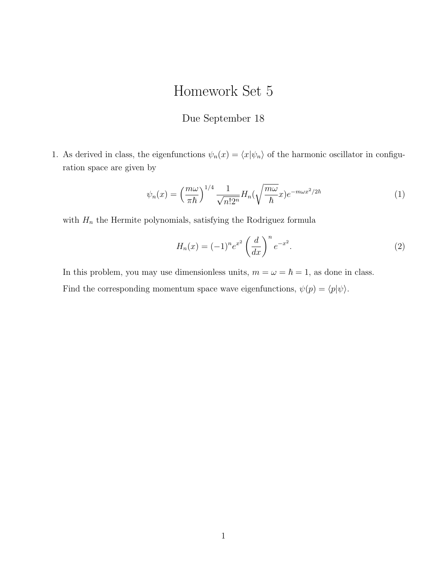## Homework Set 5

## Due September 18

1. As derived in class, the eigenfunctions  $\psi_n(x) = \langle x | \psi_n \rangle$  of the harmonic oscillator in configuration space are given by

$$
\psi_n(x) = \left(\frac{m\omega}{\pi\hbar}\right)^{1/4} \frac{1}{\sqrt{n!2^n}} H_n(\sqrt{\frac{m\omega}{\hbar}}x) e^{-m\omega x^2/2\hbar} \tag{1}
$$

with  $\mathcal{H}_n$  the Hermite polynomials, satisfying the Rodriguez formula

$$
H_n(x) = (-1)^n e^{x^2} \left(\frac{d}{dx}\right)^n e^{-x^2}.
$$
 (2)

In this problem, you may use dimensionless units,  $m = \omega = \hbar = 1$ , as done in class. Find the corresponding momentum space wave eigenfunctions,  $\psi(p) = \langle p | \psi \rangle$ .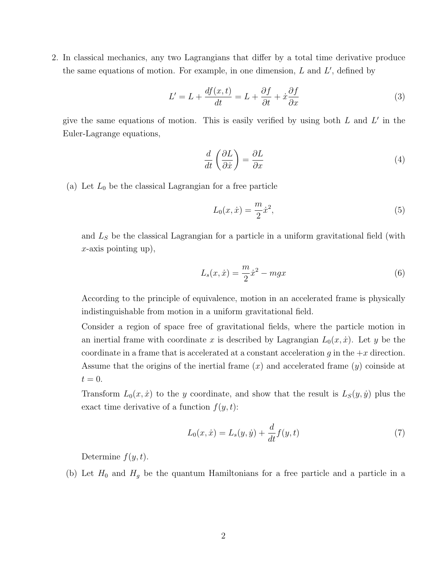2. In classical mechanics, any two Lagrangians that differ by a total time derivative produce the same equations of motion. For example, in one dimension,  $L$  and  $L'$ , defined by

$$
L' = L + \frac{df(x, t)}{dt} = L + \frac{\partial f}{\partial t} + \dot{x}\frac{\partial f}{\partial x}
$$
(3)

give the same equations of motion. This is easily verified by using both  $L$  and  $L'$  in the Euler-Lagrange equations,

$$
\frac{d}{dt}\left(\frac{\partial L}{\partial \dot{x}}\right) = \frac{\partial L}{\partial x} \tag{4}
$$

(a) Let  $L_0$  be the classical Lagrangian for a free particle

$$
L_0(x, \dot{x}) = \frac{m}{2}\dot{x}^2,\tag{5}
$$

and  $L<sub>S</sub>$  be the classical Lagrangian for a particle in a uniform gravitational field (with  $x$ -axis pointing up),

$$
L_s(x, \dot{x}) = \frac{m}{2}\dot{x}^2 - mgx\tag{6}
$$

According to the principle of equivalence, motion in an accelerated frame is physically indistinguishable from motion in a uniform gravitational field.

Consider a region of space free of gravitational fields, where the particle motion in an inertial frame with coordinate x is described by Lagrangian  $L_0(x, \dot{x})$ . Let y be the coordinate in a frame that is accelerated at a constant acceleration  $g$  in the  $+x$  direction. Assume that the origins of the inertial frame  $(x)$  and accelerated frame  $(y)$  coinside at  $t=0.$ 

Transform  $L_0(x, \dot{x})$  to the y coordinate, and show that the result is  $L_S(y, \dot{y})$  plus the exact time derivative of a function  $f(y, t)$ :

$$
L_0(x, \dot{x}) = L_s(y, \dot{y}) + \frac{d}{dt} f(y, t)
$$
\n(7)

Determine  $f(y, t)$ .

(b) Let  $H_0$  and  $H_g$  be the quantum Hamiltonians for a free particle and a particle in a